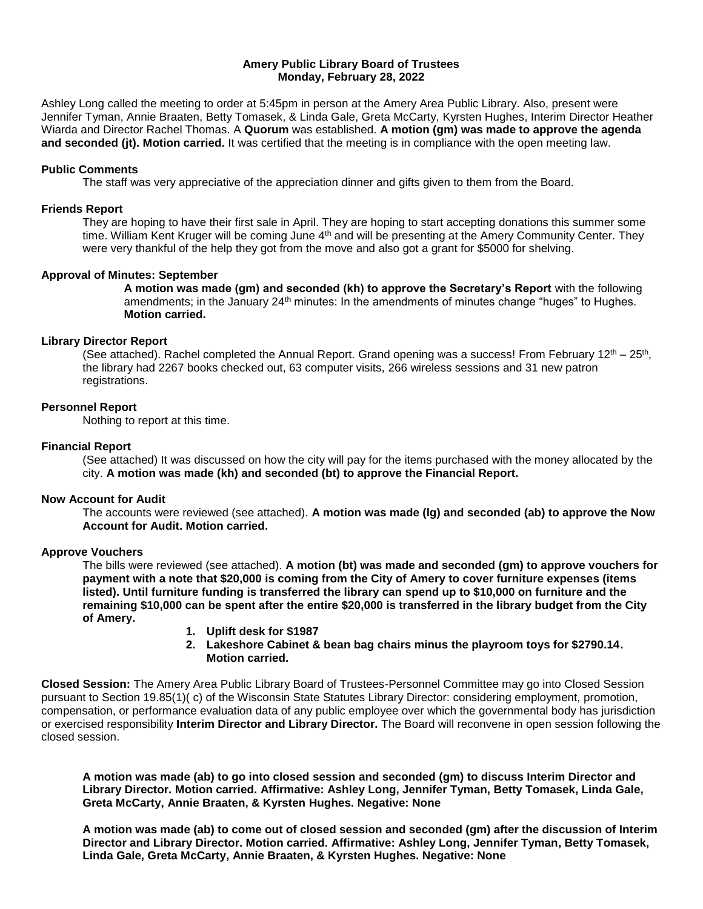## **Amery Public Library Board of Trustees Monday, February 28, 2022**

Ashley Long called the meeting to order at 5:45pm in person at the Amery Area Public Library. Also, present were Jennifer Tyman, Annie Braaten, Betty Tomasek, & Linda Gale, Greta McCarty, Kyrsten Hughes, Interim Director Heather Wiarda and Director Rachel Thomas. A **Quorum** was established. **A motion (gm) was made to approve the agenda and seconded (jt). Motion carried.** It was certified that the meeting is in compliance with the open meeting law.

### **Public Comments**

The staff was very appreciative of the appreciation dinner and gifts given to them from the Board.

### **Friends Report**

They are hoping to have their first sale in April. They are hoping to start accepting donations this summer some time. William Kent Kruger will be coming June 4<sup>th</sup> and will be presenting at the Amery Community Center. They were very thankful of the help they got from the move and also got a grant for \$5000 for shelving.

### **Approval of Minutes: September**

**A motion was made (gm) and seconded (kh) to approve the Secretary's Report** with the following amendments; in the January 24<sup>th</sup> minutes: In the amendments of minutes change "huges" to Hughes. **Motion carried.**

### **Library Director Report**

(See attached). Rachel completed the Annual Report. Grand opening was a success! From February 12<sup>th</sup> – 25<sup>th</sup>, the library had 2267 books checked out, 63 computer visits, 266 wireless sessions and 31 new patron registrations.

## **Personnel Report**

Nothing to report at this time.

### **Financial Report**

(See attached) It was discussed on how the city will pay for the items purchased with the money allocated by the city. **A motion was made (kh) and seconded (bt) to approve the Financial Report.**

#### **Now Account for Audit**

The accounts were reviewed (see attached). **A motion was made (lg) and seconded (ab) to approve the Now Account for Audit. Motion carried.** 

## **Approve Vouchers**

The bills were reviewed (see attached). **A motion (bt) was made and seconded (gm) to approve vouchers for payment with a note that \$20,000 is coming from the City of Amery to cover furniture expenses (items listed). Until furniture funding is transferred the library can spend up to \$10,000 on furniture and the remaining \$10,000 can be spent after the entire \$20,000 is transferred in the library budget from the City of Amery.**

- **1. Uplift desk for \$1987**
- **2. Lakeshore Cabinet & bean bag chairs minus the playroom toys for \$2790.14. Motion carried.**

**Closed Session:** The Amery Area Public Library Board of Trustees-Personnel Committee may go into Closed Session pursuant to Section 19.85(1)( c) of the Wisconsin State Statutes Library Director: considering employment, promotion, compensation, or performance evaluation data of any public employee over which the governmental body has jurisdiction or exercised responsibility **Interim Director and Library Director.** The Board will reconvene in open session following the closed session.

**A motion was made (ab) to go into closed session and seconded (gm) to discuss Interim Director and Library Director. Motion carried. Affirmative: Ashley Long, Jennifer Tyman, Betty Tomasek, Linda Gale, Greta McCarty, Annie Braaten, & Kyrsten Hughes. Negative: None** 

**A motion was made (ab) to come out of closed session and seconded (gm) after the discussion of Interim Director and Library Director. Motion carried. Affirmative: Ashley Long, Jennifer Tyman, Betty Tomasek, Linda Gale, Greta McCarty, Annie Braaten, & Kyrsten Hughes. Negative: None**